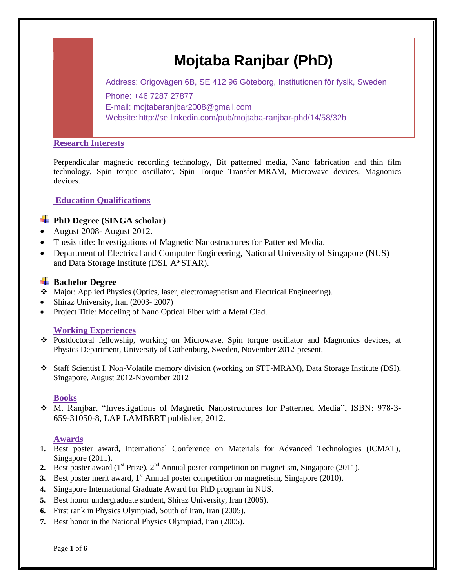# **Mojtaba Ranjbar (PhD)**

Address: Origovägen 6B, SE 412 96 Göteborg, Institutionen för fysik, Sweden Phone: +46 7287 27877 E-mail: [mojtabaranjbar2008@gmail.com](mailto:mojtabaranjbar2008@gmail.com) Website: http://se.linkedin.com/pub/mojtaba-ranjbar-phd/14/58/32b

# **Research Interests**

Perpendicular magnetic recording technology, Bit patterned media, Nano fabrication and thin film technology, Spin torque oscillator, Spin Torque Transfer-MRAM, Microwave devices, Magnonics devices.

# **Education Qualifications**

# **PhD Degree (SINGA scholar)**

- August 2008 August 2012.
- Thesis title: Investigations of Magnetic Nanostructures for Patterned Media.
- Department of Electrical and Computer Engineering, National University of Singapore (NUS) and Data Storage Institute (DSI, A\*STAR).

# **Bachelor Degree**

- Major: Applied Physics (Optics, laser, electromagnetism and Electrical Engineering).
- Shiraz University, Iran (2003-2007)
- Project Title: Modeling of Nano Optical Fiber with a Metal Clad.

# **Working Experiences**

- Postdoctoral fellowship, working on Microwave, Spin torque oscillator and Magnonics devices, at Physics Department, University of Gothenburg, Sweden, November 2012-present.
- Staff Scientist I, Non-Volatile memory division (working on STT-MRAM), Data Storage Institute (DSI), Singapore, August 2012-Novomber 2012

# **Books**

 M. Ranjbar, "Investigations of Magnetic Nanostructures for Patterned Media", ISBN: 978-3- 659-31050-8, LAP LAMBERT publisher, 2012.

# **Awards**

- **1.** Best poster award, International Conference on Materials for Advanced Technologies (ICMAT), Singapore (2011).
- 2. Best poster award  $(1^{st}$  Prize),  $2^{nd}$  Annual poster competition on magnetism, Singapore (2011).
- **3.** Best poster merit award, 1<sup>st</sup> Annual poster competition on magnetism, Singapore (2010).
- **4.** Singapore International Graduate Award for PhD program in NUS.
- **5.** Best honor undergraduate student, Shiraz University, Iran (2006).
- **6.** First rank in Physics Olympiad, South of Iran, Iran (2005).
- **7.** Best honor in the National Physics Olympiad, Iran (2005).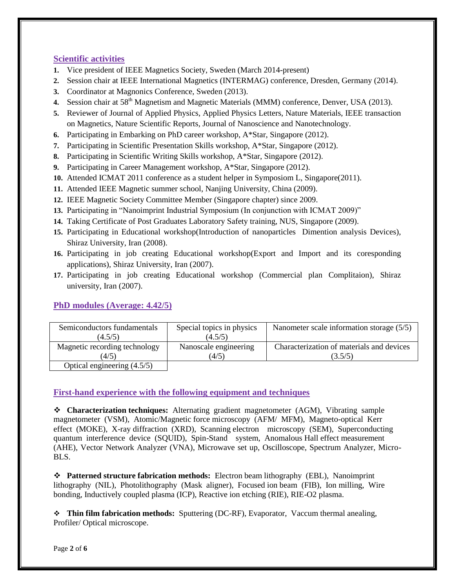# **Scientific activities**

- **1.** Vice president of IEEE Magnetics Society, Sweden (March 2014-present)
- **2.** Session chair at IEEE International Magnetics (INTERMAG) conference, Dresden, Germany (2014).
- **3.** Coordinator at Magnonics Conference, Sweden (2013).
- 4. Session chair at 58<sup>th</sup> Magnetism and Magnetic Materials (MMM) conference, Denver, USA (2013).
- **5.** Reviewer of Journal of Applied Physics, Applied Physics Letters, Nature Materials, IEEE transaction on Magnetics, Nature Scientific Reports, Journal of Nanoscience and Nanotechnology.
- **6.** Participating in Embarking on PhD career workshop, A\*Star, Singapore (2012).
- **7.** Participating in Scientific Presentation Skills workshop, A\*Star, Singapore (2012).
- **8.** Participating in Scientific Writing Skills workshop, A\*Star, Singapore (2012).
- **9.** Participating in Career Management workshop, A\*Star, Singapore (2012).
- **10.** Attended ICMAT 2011 conference as a student helper in Symposiom L, Singapore(2011).
- **11.** Attended IEEE Magnetic summer school, Nanjing University, China (2009).
- **12.** IEEE Magnetic Society Committee Member (Singapore chapter) since 2009.
- **13.** Participating in "Nanoimprint Industrial Symposium (In conjunction with ICMAT 2009)"
- **14.** Taking Certificate of Post Graduates Laboratory Safety training, NUS, Singapore (2009).
- **15.** Participating in Educational workshop(Introduction of nanoparticles Dimention analysis Devices), Shiraz University, Iran (2008).
- **16.** Participating in job creating Educational workshop(Export and Import and its coresponding applications), Shiraz University, Iran (2007).
- **17.** Participating in job creating Educational workshop (Commercial plan Complitaion), Shiraz university, Iran (2007).

# **PhD modules (Average: 4.42/5)**

| Semiconductors fundamentals   | Special topics in physics | Nanometer scale information storage $(5/5)$ |
|-------------------------------|---------------------------|---------------------------------------------|
| (4.5/5)                       | (4.5/5)                   |                                             |
| Magnetic recording technology | Nanoscale engineering     | Characterization of materials and devices   |
| (4/5)                         | (4/5)                     | (3.5/5)                                     |
| Optical engineering (4.5/5)   |                           |                                             |

# **First-hand experience with the following equipment and techniques**

 **Characterization techniques:** Alternating gradient magnetometer (AGM), Vibrating sample magnetometer (VSM), Atomic/Magnetic force microscopy (AFM/ MFM), Magneto-optical Kerr effect (MOKE), X-ray diffraction (XRD), Scanning electron microscopy (SEM), Superconducting quantum interference device (SQUID), Spin-Stand system, Anomalous Hall effect measurement (AHE), Vector Network Analyzer (VNA), Microwave set up, Oscilloscope, Spectrum Analyzer, Micro-BLS.

 **Patterned structure fabrication methods:** Electron beam lithography (EBL), Nanoimprint lithography (NIL), Photolithography (Mask aligner), Focused ion beam (FIB), Ion milling, Wire bonding, Inductively coupled plasma (ICP), Reactive ion etching (RIE), RIE-O2 plasma.

 **Thin film fabrication methods:** Sputtering (DC-RF), Evaporator, Vaccum thermal anealing, Profiler/ Optical microscope.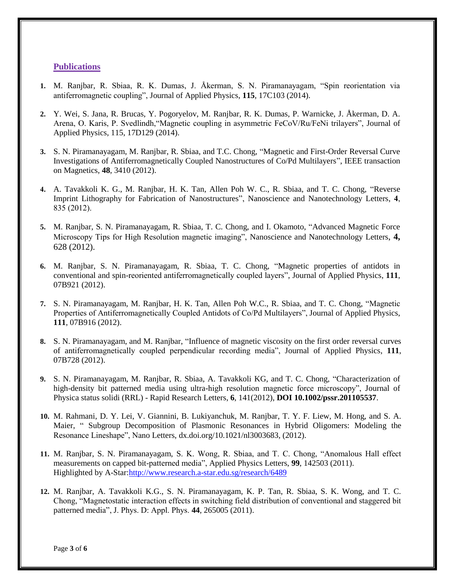### **Publications**

- **1.** M. Ranjbar, R. Sbiaa, R. K. Dumas, J. Åkerman, S. N. Piramanayagam, "Spin reorientation via antiferromagnetic coupling", Journal of Applied Physics, **115**, 17C103 (2014).
- **2.** Y. Wei, S. Jana, R. Brucas, Y. Pogoryelov, M. Ranjbar, R. K. Dumas, P. Warnicke, J. Åkerman, D. A. Arena, O. Karis, P. Svedlindh,"Magnetic coupling in asymmetric FeCoV/Ru/FeNi trilayers", Journal of Applied Physics, 115, 17D129 (2014).
- **3.** S. N. Piramanayagam, M. Ranjbar, R. Sbiaa, and T.C. Chong, "Magnetic and First-Order Reversal Curve Investigations of Antiferromagnetically Coupled Nanostructures of Co/Pd Multilayers", IEEE transaction on Magnetics, **48**, 3410 (2012).
- **4.** A. Tavakkoli K. G., M. Ranjbar, H. K. Tan, Allen Poh W. C., R. Sbiaa, and T. C. Chong, "Reverse Imprint Lithography for Fabrication of Nanostructures", Nanoscience and Nanotechnology Letters, **4**, 835 (2012).
- **5.** M. Ranjbar, S. N. Piramanayagam, R. Sbiaa, T. C. Chong, and I. Okamoto, "Advanced Magnetic Force Microscopy Tips for High Resolution magnetic imaging", Nanoscience and Nanotechnology Letters, **4,** 628 (2012).
- **6.** M. Ranjbar, S. N. Piramanayagam, R. Sbiaa, T. C. Chong, "Magnetic properties of antidots in conventional and spin-reoriented antiferromagnetically coupled layers", Journal of Applied Physics, **111**, 07B921 (2012).
- **7.** S. N. Piramanayagam, M. Ranjbar, H. K. Tan, Allen Poh W.C., R. Sbiaa, and T. C. Chong, "Magnetic Properties of Antiferromagnetically Coupled Antidots of Co/Pd Multilayers", Journal of Applied Physics, **111**, 07B916 (2012).
- **8.** S. N. Piramanayagam, and M. Ranjbar, "Influence of magnetic viscosity on the first order reversal curves of antiferromagnetically coupled perpendicular recording media", Journal of Applied Physics, **111**, 07B728 (2012).
- **9.** S. N. Piramanayagam, M. Ranjbar, R. Sbiaa, A. Tavakkoli KG, and T. C. Chong, "Characterization of high-density bit patterned media using ultra-high resolution magnetic force microscopy", Journal of Physica status solidi (RRL) - Rapid Research Letters, **6**, 141(2012), **DOI 10.1002/pssr.201105537**.
- **10.** M. Rahmani, D. Y. Lei, V. Giannini, B. Lukiyanchuk, M. Ranjbar, T. Y. F. Liew, M. Hong, and S. A. Maier, " Subgroup Decomposition of Plasmonic Resonances in Hybrid Oligomers: Modeling the Resonance Lineshape", Nano Letters, dx.doi.org/10.1021/nl3003683, (2012).
- **11.** M. Ranjbar, S. N. Piramanayagam, S. K. Wong, R. Sbiaa, and T. C. Chong, "Anomalous Hall effect measurements on capped bit-patterned media", Applied Physics Letters, **99**, 142503 (2011). Highlighted by A-Star[:http://www.research.a-star.edu.sg/research/6489](http://www.research.a-star.edu.sg/research/6489)
- **12.** M. Ranjbar, A. Tavakkoli K.G., S. N. Piramanayagam, K. P. Tan, R. Sbiaa, S. K. Wong, and T. C. Chong, "Magnetostatic interaction effects in switching field distribution of conventional and staggered bit patterned media", J. Phys. D: Appl. Phys. **44**, 265005 (2011).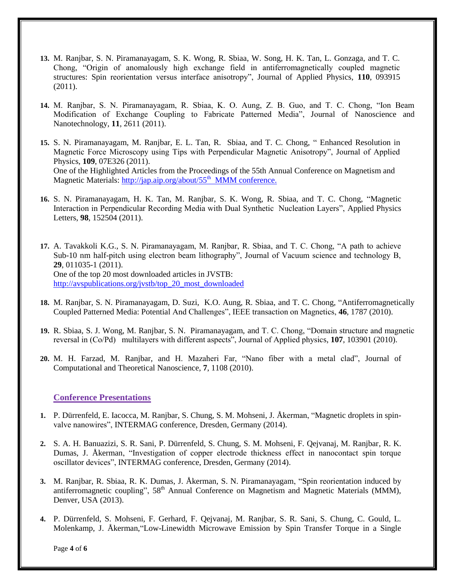- **13.** M. Ranjbar, S. N. Piramanayagam, S. K. Wong, R. Sbiaa, W. Song, H. K. Tan, L. Gonzaga, and T. C. Chong, "Origin of anomalously high exchange field in antiferromagnetically coupled magnetic structures: Spin reorientation versus interface anisotropy", Journal of Applied Physics, **110**, 093915 (2011).
- **14.** M. Ranjbar, S. N. Piramanayagam, R. Sbiaa, K. O. Aung, Z. B. Guo, and T. C. Chong, "Ion Beam Modification of Exchange Coupling to Fabricate Patterned Media", Journal of Nanoscience and Nanotechnology, **11**, 2611 (2011).
- **15.** S. N. Piramanayagam, M. Ranjbar, E. L. Tan, R. Sbiaa, and T. C. Chong, " Enhanced Resolution in Magnetic Force Microscopy using Tips with Perpendicular Magnetic Anisotropy", Journal of Applied Physics, **109**, 07E326 (2011). One of the Highlighted Articles from the Proceedings of the 55th Annual Conference on Magnetism and Magnetic Materials: [http://jap.aip.org/about/55](http://jap.aip.org/about/55th%20%20MMM%20conference.)<sup>th</sup> MMM conference.
- **16.** S. N. Piramanayagam, H. K. Tan, M. Ranjbar, S. K. Wong, R. Sbiaa, and T. C. Chong, "Magnetic Interaction in Perpendicular Recording Media with Dual Synthetic Nucleation Layers", Applied Physics Letters, **98**, 152504 (2011).
- **17.** A. Tavakkoli K.G., S. N. Piramanayagam, M. Ranjbar, R. Sbiaa, and T. C. Chong, "A path to achieve Sub-10 nm half-pitch using electron beam lithography", Journal of Vacuum science and technology B, **29**, 011035-1 (2011). One of the top 20 most downloaded articles in JVSTB: [http://avspublications.org/jvstb/top\\_20\\_most\\_downloaded](http://avspublications.org/jvstb/top_20_most_downloaded)
- **18.** M. Ranjbar, S. N. Piramanayagam, D. Suzi, K.O. Aung, R. Sbiaa, and T. C. Chong, "Antiferromagnetically Coupled Patterned Media: Potential And Challenges", IEEE transaction on Magnetics, **46**, 1787 (2010).
- **19.** R. Sbiaa, S. J. Wong, M. Ranjbar, S. N. Piramanayagam, and T. C. Chong, "Domain structure and magnetic reversal in (Co/Pd) multilayers with different aspects", Journal of Applied physics, **107**, 103901 (2010).
- **20.** M. H. Farzad, M. Ranjbar, and H. Mazaheri Far, "Nano fiber with a metal clad", [Journal of](http://www.aspbs.com/ctn/)  [Computational and Theoretical Nanoscience,](http://www.aspbs.com/ctn/) **7**, 1108 (2010).

### **Conference Presentations**

- **1.** P. Dürrenfeld, E. Iacocca, M. Ranjbar, S. Chung, S. M. Mohseni, J. Åkerman, "Magnetic droplets in spinvalve nanowires", INTERMAG conference, Dresden, Germany (2014).
- **2.** S. A. H. Banuazizi, S. R. Sani, P. Dürrenfeld, S. Chung, S. M. Mohseni, F. Qejvanaj, M. Ranjbar, R. K. Dumas, J. Åkerman, "Investigation of copper electrode thickness effect in nanocontact spin torque oscillator devices", INTERMAG conference, Dresden, Germany (2014).
- **3.** M. Ranjbar, R. Sbiaa, R. K. Dumas, J. Åkerman, S. N. Piramanayagam, "Spin reorientation induced by antiferromagnetic coupling", 58<sup>th</sup> Annual Conference on Magnetism and Magnetic Materials (MMM), Denver, USA (2013).
- **4.** P. Dürrenfeld, S. Mohseni, F. Gerhard, F. Qejvanaj, M. Ranjbar, S. R. Sani, S. Chung, C. Gould, L. Molenkamp, J. Åkerman,"Low-Linewidth Microwave Emission by Spin Transfer Torque in a Single

Page **4** of **6**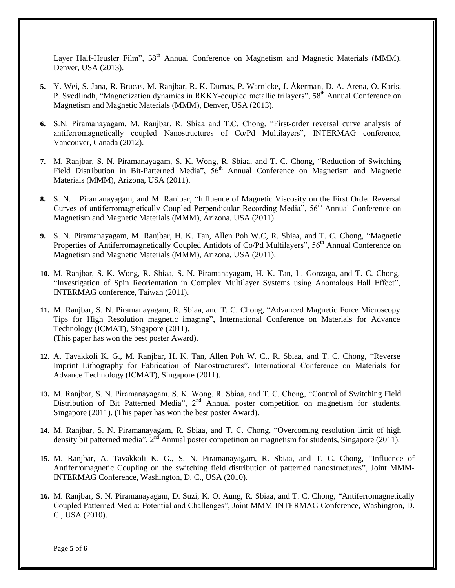Layer Half-Heusler Film", 58<sup>th</sup> Annual Conference on Magnetism and Magnetic Materials (MMM), Denver, USA (2013).

- **5.** Y. Wei, S. Jana, R. Brucas, M. Ranjbar, R. K. Dumas, P. Warnicke, J. Åkerman, D. A. Arena, O. Karis, P. Svedlindh, "Magnetization dynamics in RKKY-coupled metallic trilayers", 58<sup>th</sup> Annual Conference on Magnetism and Magnetic Materials (MMM), Denver, USA (2013).
- **6.** S.N. Piramanayagam, M. Ranjbar, R. Sbiaa and T.C. Chong, "First-order reversal curve analysis of antiferromagnetically coupled Nanostructures of Co/Pd Multilayers", INTERMAG conference, Vancouver, Canada (2012).
- **7.** M. Ranjbar, S. N. Piramanayagam, S. K. Wong, R. Sbiaa, and T. C. Chong, ["Reduction of Switching](http://nus.academia.edu/MojtabaRanjbar/Talks/51125/Reduction_of_Switching_Field_Distribution_in_Bit-Patterned_Media)  [Field Distribution in Bit-Patterned Media"](http://nus.academia.edu/MojtabaRanjbar/Talks/51125/Reduction_of_Switching_Field_Distribution_in_Bit-Patterned_Media),  $56<sup>th</sup>$  Annual Conference on Magnetism and Magnetic Materials (MMM), Arizona, USA (2011).
- **8.** S. N. Piramanayagam, and M. Ranjbar, "Influence of Magnetic Viscosity on the First Order Reversal Curves of antiferromagnetically Coupled Perpendicular Recording Media", 56<sup>th</sup> Annual Conference on Magnetism and Magnetic Materials (MMM), Arizona, USA (2011).
- **9.** S. N. Piramanayagam, M. Ranjbar, H. K. Tan, Allen Poh W.C, R. Sbiaa, and T. C. Chong, ["Magnetic](http://nus.academia.edu/MojtabaRanjbar/Talks/51127/Magnetic_Properties_of_Antiferromagnetically_Coupled_Antidots_of_Co_Pd_Multilayers)  [Properties of Antiferromagnetically Coupled Antidots of Co/Pd Multilayers"](http://nus.academia.edu/MojtabaRanjbar/Talks/51127/Magnetic_Properties_of_Antiferromagnetically_Coupled_Antidots_of_Co_Pd_Multilayers), 56<sup>th</sup> Annual Conference on Magnetism and Magnetic Materials (MMM), Arizona, USA (2011).
- **10.** M. Ranjbar, S. K. Wong, R. Sbiaa, S. N. Piramanayagam, H. K. Tan, L. Gonzaga, and T. C. Chong, "Investigation of Spin Reorientation in Complex Multilayer Systems using Anomalous Hall Effect", INTERMAG conference, Taiwan (2011).
- **11.** M. Ranjbar, S. N. Piramanayagam, R. Sbiaa, and T. C. Chong, "Advanced Magnetic Force Microscopy Tips for High Resolution magnetic imaging", International Conference on Materials for Advance Technology (ICMAT), Singapore (2011). (This paper has won the best poster Award).
- **12.** A. Tavakkoli K. G., M. Ranjbar, H. K. Tan, Allen Poh W. C., R. Sbiaa, and T. C. Chong, "Reverse Imprint Lithography for Fabrication of Nanostructures", International Conference on Materials for Advance Technology (ICMAT), Singapore (2011).
- **13.** M. Ranjbar, S. N. Piramanayagam, S. K. Wong, R. Sbiaa, and T. C. Chong, ["Control of Switching Field](http://nus.academia.edu/MojtabaRanjbar/Talks/57042/Control_Of_Switching_Field_Distribution_Of_Bit_Patterned_Media)  [Distribution of Bit Patterned Media"](http://nus.academia.edu/MojtabaRanjbar/Talks/57042/Control_Of_Switching_Field_Distribution_Of_Bit_Patterned_Media), 2<sup>nd</sup> Annual poster competition on magnetism for students, Singapore (2011). (This paper has won the best poster Award).
- **14.** M. Ranjbar, S. N. Piramanayagam, R. Sbiaa, and T. C. Chong, ["Overcoming resolution limit of high](http://nus.academia.edu/MojtabaRanjbar/Talks/57044/Overcoming_resolution_limit_of_high_density_bit_patterned_media)  [density bit patterned media"](http://nus.academia.edu/MojtabaRanjbar/Talks/57044/Overcoming_resolution_limit_of_high_density_bit_patterned_media),  $2<sup>nd</sup>$  Annual poster competition on magnetism for students, Singapore (2011).
- **15.** M. Ranjbar, A. Tavakkoli K. G., S. N. Piramanayagam, R. Sbiaa, and T. C. Chong, "Influence of Antiferromagnetic Coupling on the switching field distribution of patterned nanostructures", Joint MMM-INTERMAG Conference, Washington, D. C., USA (2010).
- **16.** M. Ranjbar, S. N. Piramanayagam, D. Suzi, K. O. Aung, R. Sbiaa, and T. C. Chong, "Antiferromagnetically Coupled Patterned Media: Potential and Challenges", Joint MMM-INTERMAG Conference, Washington, D. C., USA (2010).